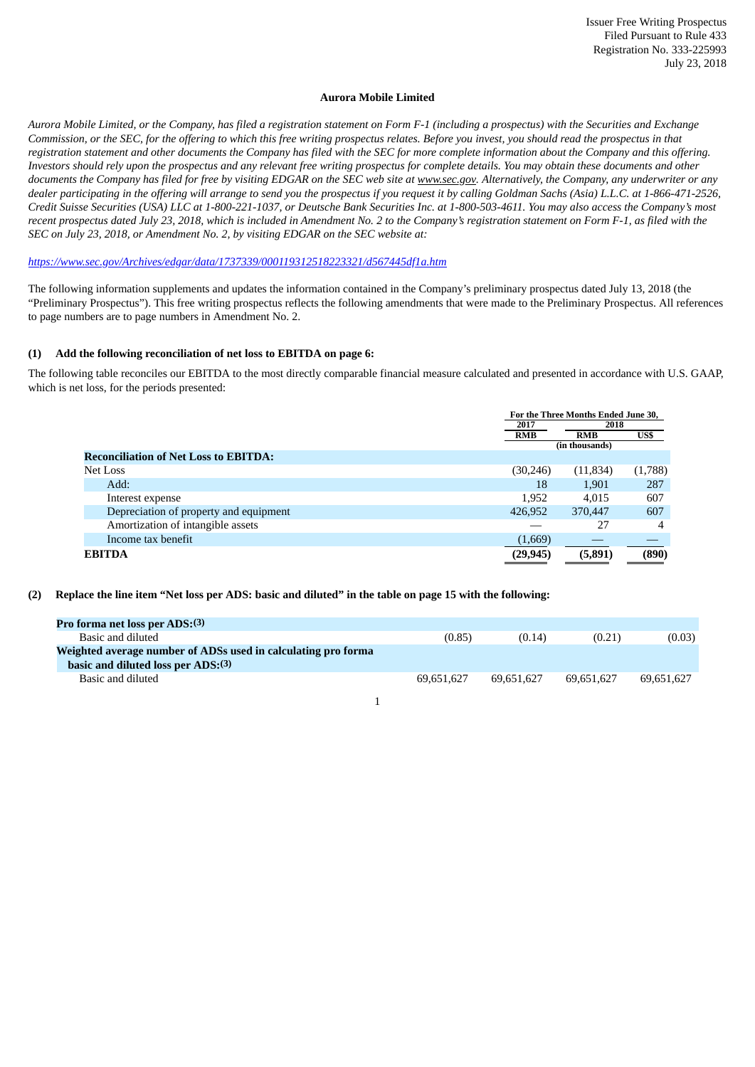### **Aurora Mobile Limited**

Aurora Mobile Limited, or the Company, has filed a reaistration statement on Form F-1 (including a prospectus) with the Securities and Exchange Commission, or the SEC, for the offering to which this free writing prospectus relates. Before you invest, you should read the prospectus in that registration statement and other documents the Company has filed with the SEC for more complete information about the Company and this offering. Investors should rely upon the prospectus and any relevant free writing prospectus for complete details. You may obtain these documents and other documents the Company has filed for free by visiting EDGAR on the SEC web site at www.sec.gov. Alternatively, the Company, any underwriter or any dealer participating in the offering will arrange to send you the prospectus if you request it by calling Goldman Sachs (Asia) L.L.C. at 1-866-471-2526, Credit Suisse Securities (USA) LLC at 1-800-221-1037, or Deutsche Bank Securities Inc. at 1-800-503-4611. You may also access the Company's most recent prospectus dated July 23, 2018, which is included in Amendment No. 2 to the Company's reaistration statement on Form F-1, as filed with the *SEC on July 23, 2018, or Amendment No. 2, by visiting EDGAR on the SEC website at:*

*[https://www.sec.gov/Archives/edgar/data/1737339/000119312518223321/d567445df1a.htm](http://www.sec.gov/Archives/edgar/data/1737339/000119312518223321/d567445df1a.htm)*

The following information supplements and updates the information contained in the Company's preliminary prospectus dated July 13, 2018 (the "Preliminary Prospectus"). This free writing prospectus reflects the following amendments that were made to the Preliminary Prospectus. All references to page numbers are to page numbers in Amendment No. 2.

# **(1) Add the following reconciliation of net loss to EBITDA on page 6:**

The following table reconciles our EBITDA to the most directly comparable financial measure calculated and presented in accordance with U.S. GAAP, which is net loss, for the periods presented:

|                                              |            | For the Three Months Ended June 30, |         |  |  |
|----------------------------------------------|------------|-------------------------------------|---------|--|--|
|                                              | 2017       |                                     | 2018    |  |  |
|                                              | <b>RMB</b> | <b>RMB</b>                          | US\$    |  |  |
|                                              |            | (in thousands)                      |         |  |  |
| <b>Reconciliation of Net Loss to EBITDA:</b> |            |                                     |         |  |  |
| Net Loss                                     | (30, 246)  | (11, 834)                           | (1,788) |  |  |
| Add:                                         | 18         | 1,901                               | 287     |  |  |
| Interest expense                             | 1,952      | 4.015                               | 607     |  |  |
| Depreciation of property and equipment       | 426,952    | 370,447                             | 607     |  |  |
| Amortization of intangible assets            |            | 27                                  | 4       |  |  |
| Income tax benefit                           | (1,669)    |                                     |         |  |  |
| <b>EBITDA</b>                                | (29, 945)  | (5,891)                             | (890)   |  |  |

# (2) Replace the line item "Net loss per ADS: basic and diluted" in the table on page 15 with the following:

| <b>Pro forma net loss per ADS:(3)</b>                                                               |            |            |            |            |
|-----------------------------------------------------------------------------------------------------|------------|------------|------------|------------|
| Basic and diluted                                                                                   | (0.85)     | (0.14)     | (0.21)     | (0.03)     |
| Weighted average number of ADSs used in calculating pro forma<br>basic and diluted loss per ADS:(3) |            |            |            |            |
|                                                                                                     |            |            |            |            |
| Basic and diluted                                                                                   | 69.651.627 | 69.651.627 | 69.651.627 | 69.651.627 |

1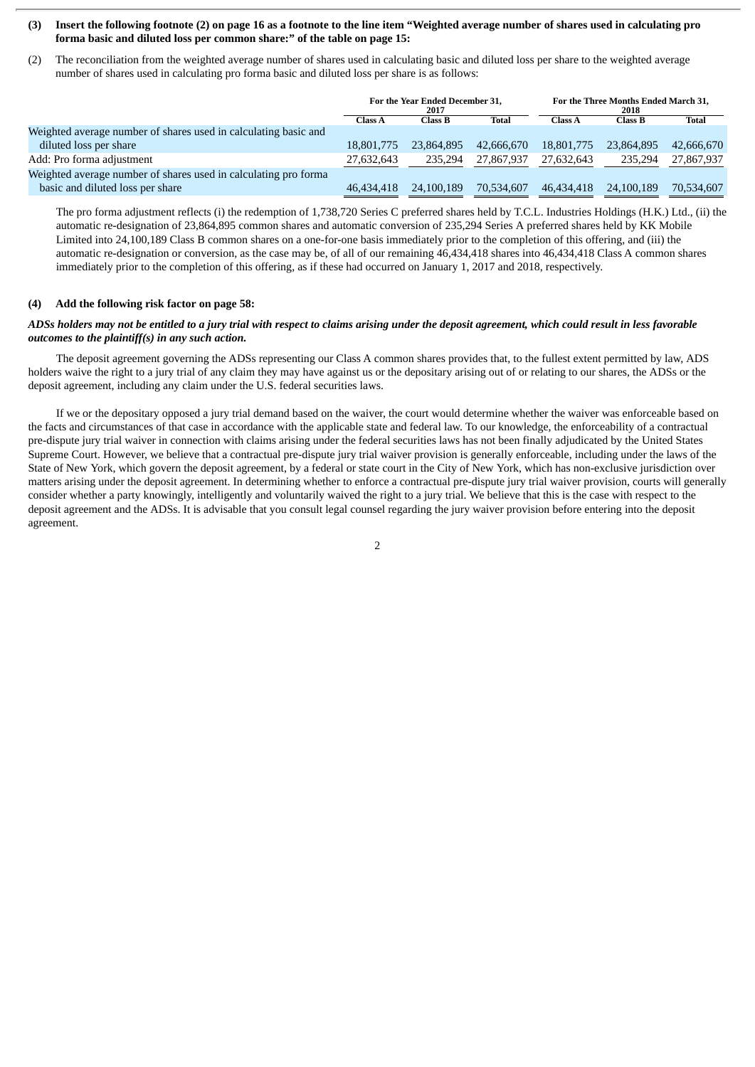### (3) Insert the following footnote (2) on page 16 as a footnote to the line item "Weighted average number of shares used in calculating pro **forma basic and diluted loss per common share:" of the table on page 15:**

(2) The reconciliation from the weighted average number of shares used in calculating basic and diluted loss per share to the weighted average number of shares used in calculating pro forma basic and diluted loss per share is as follows:

|                                                                 | For the Year Ended December 31,<br>2017 |            | For the Three Months Ended March 31.<br>2018 |                |                |              |
|-----------------------------------------------------------------|-----------------------------------------|------------|----------------------------------------------|----------------|----------------|--------------|
|                                                                 | Class A                                 | Class B    | Total                                        | <b>Class A</b> | <b>Class B</b> | <b>Total</b> |
| Weighted average number of shares used in calculating basic and |                                         |            |                                              |                |                |              |
| diluted loss per share                                          | 18,801,775                              | 23,864,895 | 42,666,670                                   | 18,801,775     | 23.864.895     | 42,666,670   |
| Add: Pro forma adjustment                                       | 27,632,643                              | 235.294    | 27,867,937                                   | 27,632,643     | 235.294        | 27,867,937   |
| Weighted average number of shares used in calculating pro forma |                                         |            |                                              |                |                |              |
| basic and diluted loss per share                                | 46,434,418                              | 24,100,189 | 70.534.607                                   | 46.434.418     | 24,100,189     | 70,534,607   |

The pro forma adjustment reflects (i) the redemption of 1,738,720 Series C preferred shares held by T.C.L. Industries Holdings (H.K.) Ltd., (ii) the automatic re-designation of 23,864,895 common shares and automatic conversion of 235,294 Series A preferred shares held by KK Mobile Limited into 24,100,189 Class B common shares on a one-for-one basis immediately prior to the completion of this offering, and (iii) the automatic re-designation or conversion, as the case may be, of all of our remaining 46,434,418 shares into 46,434,418 Class A common shares immediately prior to the completion of this offering, as if these had occurred on January 1, 2017 and 2018, respectively.

### **(4) Add the following risk factor on page 58:**

# ADSs holders may not be entitled to a jury trial with respect to claims arising under the deposit agreement, which could result in less favorable *outcomes to the plaintiff(s) in any such action.*

The deposit agreement governing the ADSs representing our Class A common shares provides that, to the fullest extent permitted by law, ADS holders waive the right to a jury trial of any claim they may have against us or the depositary arising out of or relating to our shares, the ADSs or the deposit agreement, including any claim under the U.S. federal securities laws.

If we or the depositary opposed a jury trial demand based on the waiver, the court would determine whether the waiver was enforceable based on the facts and circumstances of that case in accordance with the applicable state and federal law. To our knowledge, the enforceability of a contractual pre-dispute jury trial waiver in connection with claims arising under the federal securities laws has not been finally adjudicated by the United States Supreme Court. However, we believe that a contractual pre-dispute jury trial waiver provision is generally enforceable, including under the laws of the State of New York, which govern the deposit agreement, by a federal or state court in the City of New York, which has non-exclusive jurisdiction over matters arising under the deposit agreement. In determining whether to enforce a contractual pre-dispute jury trial waiver provision, courts will generally consider whether a party knowingly, intelligently and voluntarily waived the right to a jury trial. We believe that this is the case with respect to the deposit agreement and the ADSs. It is advisable that you consult legal counsel regarding the jury waiver provision before entering into the deposit agreement.

2